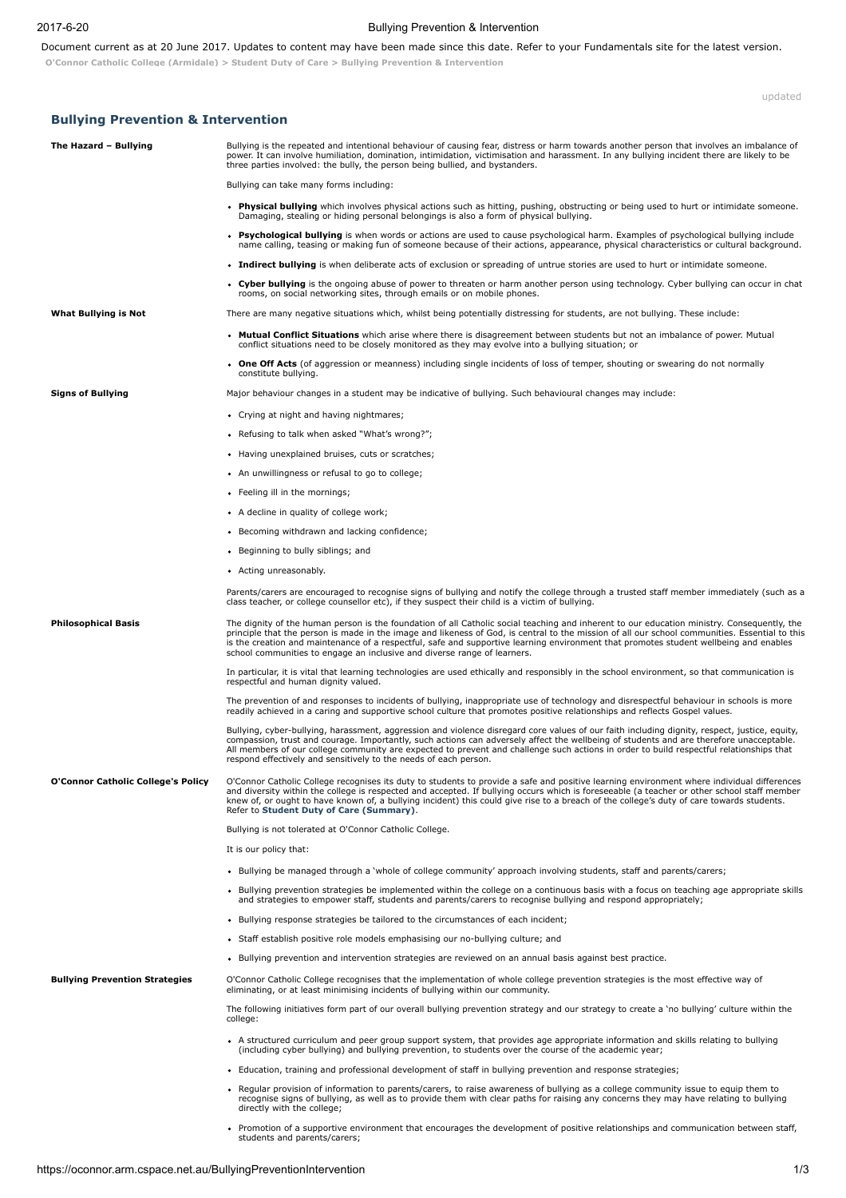## 2017620 Bullying Prevention & Intervention

Document current as at 20 June 2017. Updates to content may have been made since this date. Refer to your Fundamentals site for the latest version.

O'Connor Catholic College [\(Armidale\)](https://oconnor.arm.cspace.net.au/Home) > [Student](https://oconnor.arm.cspace.net.au/StudentDutyofCare) Duty of Care > Bullying Prevention & Intervention

updated

| <b>Bullying Prevention &amp; Intervention</b> |                                                                                                                                                                                                                                                                                                                                                                                                                                                                                                                    |
|-----------------------------------------------|--------------------------------------------------------------------------------------------------------------------------------------------------------------------------------------------------------------------------------------------------------------------------------------------------------------------------------------------------------------------------------------------------------------------------------------------------------------------------------------------------------------------|
| The Hazard - Bullying                         | Bullying is the repeated and intentional behaviour of causing fear, distress or harm towards another person that involves an imbalance of<br>power. It can involve humiliation, domination, intimidation, victimisation and harassment. In any bullying incident there are likely to be<br>three parties involved: the bully, the person being bullied, and bystanders.                                                                                                                                            |
|                                               | Bullying can take many forms including:                                                                                                                                                                                                                                                                                                                                                                                                                                                                            |
|                                               | . Physical bullying which involves physical actions such as hitting, pushing, obstructing or being used to hurt or intimidate someone.<br>Damaging, stealing or hiding personal belongings is also a form of physical bullying.                                                                                                                                                                                                                                                                                    |
|                                               | • Psychological bullying is when words or actions are used to cause psychological harm. Examples of psychological bullying include<br>name calling, teasing or making fun of someone because of their actions, appearance, physical characteristics or cultural background.                                                                                                                                                                                                                                        |
|                                               | • Indirect bullying is when deliberate acts of exclusion or spreading of untrue stories are used to hurt or intimidate someone.                                                                                                                                                                                                                                                                                                                                                                                    |
|                                               | • Cyber bullying is the ongoing abuse of power to threaten or harm another person using technology. Cyber bullying can occur in chat<br>rooms, on social networking sites, through emails or on mobile phones.                                                                                                                                                                                                                                                                                                     |
| What Bullying is Not                          | There are many negative situations which, whilst being potentially distressing for students, are not bullying. These include:                                                                                                                                                                                                                                                                                                                                                                                      |
|                                               | • Mutual Conflict Situations which arise where there is disagreement between students but not an imbalance of power. Mutual<br>conflict situations need to be closely monitored as they may evolve into a bullying situation; or                                                                                                                                                                                                                                                                                   |
|                                               | • One Off Acts (of aggression or meanness) including single incidents of loss of temper, shouting or swearing do not normally<br>constitute bullying.                                                                                                                                                                                                                                                                                                                                                              |
| <b>Signs of Bullying</b>                      | Major behaviour changes in a student may be indicative of bullying. Such behavioural changes may include:                                                                                                                                                                                                                                                                                                                                                                                                          |
|                                               | • Crying at night and having nightmares;                                                                                                                                                                                                                                                                                                                                                                                                                                                                           |
|                                               | • Refusing to talk when asked "What's wrong?";                                                                                                                                                                                                                                                                                                                                                                                                                                                                     |
|                                               | • Having unexplained bruises, cuts or scratches;                                                                                                                                                                                                                                                                                                                                                                                                                                                                   |
|                                               | • An unwillingness or refusal to go to college;                                                                                                                                                                                                                                                                                                                                                                                                                                                                    |
|                                               | • Feeling ill in the mornings;                                                                                                                                                                                                                                                                                                                                                                                                                                                                                     |
|                                               | • A decline in quality of college work;                                                                                                                                                                                                                                                                                                                                                                                                                                                                            |
|                                               | • Becoming withdrawn and lacking confidence;                                                                                                                                                                                                                                                                                                                                                                                                                                                                       |
|                                               | • Beginning to bully siblings; and                                                                                                                                                                                                                                                                                                                                                                                                                                                                                 |
|                                               | • Acting unreasonably.                                                                                                                                                                                                                                                                                                                                                                                                                                                                                             |
|                                               | Parents/carers are encouraged to recognise signs of bullying and notify the college through a trusted staff member immediately (such as a<br>class teacher, or college counsellor etc), if they suspect their child is a victim of bullying.                                                                                                                                                                                                                                                                       |
| <b>Philosophical Basis</b>                    | The dignity of the human person is the foundation of all Catholic social teaching and inherent to our education ministry. Consequently, the<br>principle that the person is made in the image and likeness of God, is central to the mission of all our school communities. Essential to this<br>is the creation and maintenance of a respectful, safe and supportive learning environment that promotes student wellbeing and enables<br>school communities to engage an inclusive and diverse range of learners. |
|                                               | In particular, it is vital that learning technologies are used ethically and responsibly in the school environment, so that communication is<br>respectful and human dignity valued.                                                                                                                                                                                                                                                                                                                               |
|                                               | The prevention of and responses to incidents of bullying, inappropriate use of technology and disrespectful behaviour in schools is more<br>readily achieved in a caring and supportive school culture that promotes positive relationships and reflects Gospel values.                                                                                                                                                                                                                                            |
|                                               | Bullying, cyber-bullying, harassment, aggression and violence disregard core values of our faith including dignity, respect, justice, equity,<br>compassion, trust and courage. Importantly, such actions can adversely affect the wellbeing of students and are therefore unacceptable.<br>All members of our college community are expected to prevent and challenge such actions in order to build respectful relationships that<br>respond effectively and sensitively to the needs of each person.            |
| <b>O'Connor Catholic College's Policy</b>     | O'Connor Catholic College recognises its duty to students to provide a safe and positive learning environment where individual differences<br>and diversity within the college is respected and accepted. If bullying occurs which is foreseeable (a teacher or other school staff member<br>knew of, or ought to have known of, a bullying incident) this could give rise to a breach of the college's duty of care towards students.<br>Refer to Student Duty of Care (Summary).                                 |
|                                               | Bullying is not tolerated at O'Connor Catholic College.                                                                                                                                                                                                                                                                                                                                                                                                                                                            |
|                                               | It is our policy that:                                                                                                                                                                                                                                                                                                                                                                                                                                                                                             |
|                                               | . Bullying be managed through a 'whole of college community' approach involving students, staff and parents/carers;                                                                                                                                                                                                                                                                                                                                                                                                |
|                                               | • Bullying prevention strategies be implemented within the college on a continuous basis with a focus on teaching age appropriate skills<br>and strategies to empower staff, students and parents/carers to recognise bullying and respond appropriately;                                                                                                                                                                                                                                                          |
|                                               | • Bullying response strategies be tailored to the circumstances of each incident;                                                                                                                                                                                                                                                                                                                                                                                                                                  |
|                                               | • Staff establish positive role models emphasising our no-bullying culture; and                                                                                                                                                                                                                                                                                                                                                                                                                                    |
|                                               | . Bullying prevention and intervention strategies are reviewed on an annual basis against best practice.                                                                                                                                                                                                                                                                                                                                                                                                           |
| <b>Bullying Prevention Strategies</b>         | O'Connor Catholic College recognises that the implementation of whole college prevention strategies is the most effective way of<br>eliminating, or at least minimising incidents of bullying within our community.                                                                                                                                                                                                                                                                                                |
|                                               | The following initiatives form part of our overall bullying prevention strategy and our strategy to create a 'no bullying' culture within the<br>college:                                                                                                                                                                                                                                                                                                                                                          |
|                                               | • A structured curriculum and peer group support system, that provides age appropriate information and skills relating to bullying<br>(including cyber bullying) and bullying prevention, to students over the course of the academic year;                                                                                                                                                                                                                                                                        |
|                                               | • Education, training and professional development of staff in bullying prevention and response strategies;                                                                                                                                                                                                                                                                                                                                                                                                        |
|                                               | • Regular provision of information to parents/carers, to raise awareness of bullying as a college community issue to equip them to<br>recognise signs of bullying, as well as to provide them with clear paths for raising any concerns they may have relating to bullying<br>directly with the college;                                                                                                                                                                                                           |
|                                               | • Promotion of a supportive environment that encourages the development of positive relationships and communication between staff,<br>students and parents/carers;                                                                                                                                                                                                                                                                                                                                                 |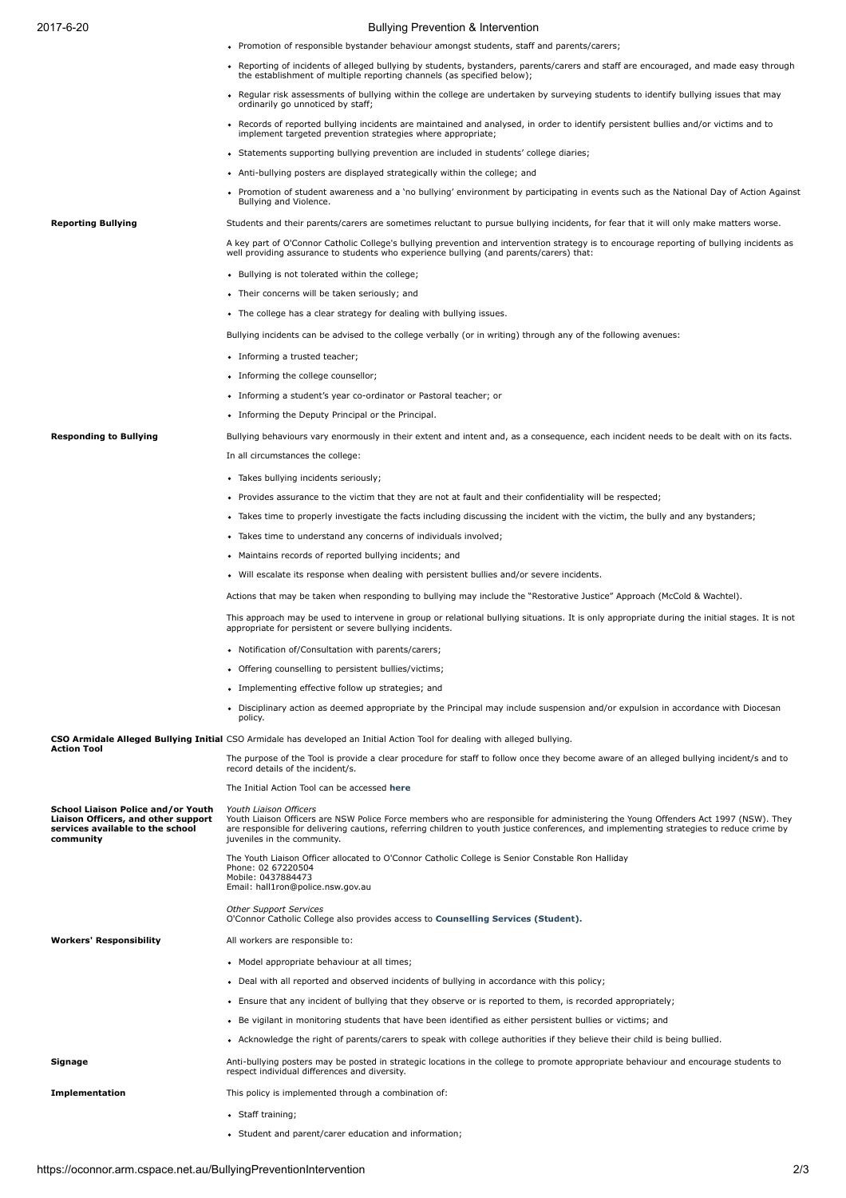## 2017620 Bullying Prevention & Intervention

- Promotion of responsible bystander behaviour amongst students, staff and parents/carers;
- Reporting of incidents of alleged bullying by students, bystanders, parents/carers and staff are encouraged, and made easy through<br>the establishment of multiple reporting channels (as specified below);
- Regular risk assessments of bullying within the college are undertaken by surveying students to identify bullying issues that may ordinarily go unnoticed by staff;
- Records of reported bullying incidents are maintained and analysed, in order to identify persistent bullies and/or victims and to implement targeted prevention strategies where appropriate;
- Statements supporting bullying prevention are included in students' college diaries;
- Anti-bullying posters are displayed strategically within the college; and
- Promotion of student awareness and a 'no bullying' environment by participating in events such as the National Day of Action Against Bullying and Violence.

Reporting Bullying Students and their parents/carers are sometimes reluctant to pursue bullying incidents, for fear that it will only make matters worse.

A key part of O'Connor Catholic College's bullying prevention and intervention strategy is to encourage reporting of bullying incidents as<br>well providing assurance to students who experience bullying (and parents/carers) t

- Bullying is not tolerated within the college;
- Their concerns will be taken seriously; and
- The college has a clear strategy for dealing with bullying issues.

Bullying incidents can be advised to the college verbally (or in writing) through any of the following avenues:

- Informing a trusted teacher:
- Informing the college counsellor;
- Informing a student's year co-ordinator or Pastoral teacher; or
- Informing the Deputy Principal or the Principal.

Responding to Bullying **Bullying** Bullying behaviours vary enormously in their extent and intent and, as a consequence, each incident needs to be dealt with on its facts. In all circumstances the college:

- Takes bullying incidents seriously;
- Provides assurance to the victim that they are not at fault and their confidentiality will be respected;
- Takes time to properly investigate the facts including discussing the incident with the victim, the bully and any bystanders;
- Takes time to understand any concerns of individuals involved;
- Maintains records of reported bullying incidents; and
- Will escalate its response when dealing with persistent bullies and/or severe incidents.

Actions that may be taken when responding to bullying may include the "Restorative Justice" Approach (McCold & Wachtel).

This approach may be used to intervene in group or relational bullying situations. It is only appropriate during the initial stages. It is not appropriate for persistent or severe bullying incidents.

- Notification of/Consultation with parents/carers;
- Offering counselling to persistent bullies/victims;
- Implementing effective follow up strategies: and
- Disciplinary action as deemed appropriate by the Principal may include suspension and/or expulsion in accordance with Diocesan policy.

CSO Armidale Alleged Bullying Initial CSO Armidale has developed an Initial Action Tool for dealing with alleged bullying. Action Tool

|                                                                                                                            | The purpose of the Tool is provide a clear procedure for staff to follow once they become aware of an alleged bullying incident/s and to<br>record details of the incident/s.                                                                                                                                                           |
|----------------------------------------------------------------------------------------------------------------------------|-----------------------------------------------------------------------------------------------------------------------------------------------------------------------------------------------------------------------------------------------------------------------------------------------------------------------------------------|
|                                                                                                                            | The Initial Action Tool can be accessed here                                                                                                                                                                                                                                                                                            |
| School Liaison Police and/or Youth<br>Liaison Officers, and other support<br>services available to the school<br>community | Youth Liaison Officers<br>Youth Liaison Officers are NSW Police Force members who are responsible for administering the Young Offenders Act 1997 (NSW). They<br>are responsible for delivering cautions, referring children to youth justice conferences, and implementing strategies to reduce crime by<br>juveniles in the community. |
|                                                                                                                            | The Youth Liaison Officer allocated to O'Connor Catholic College is Senior Constable Ron Halliday<br>Phone: 02 67220504<br>Mobile: 0437884473<br>Email: hall1ron@police.nsw.gov.au                                                                                                                                                      |
|                                                                                                                            | <b>Other Support Services</b><br>O'Connor Catholic College also provides access to Counselling Services (Student).                                                                                                                                                                                                                      |
| <b>Workers' Responsibility</b>                                                                                             | All workers are responsible to:                                                                                                                                                                                                                                                                                                         |
|                                                                                                                            | • Model appropriate behaviour at all times;                                                                                                                                                                                                                                                                                             |
|                                                                                                                            | • Deal with all reported and observed incidents of bullying in accordance with this policy;                                                                                                                                                                                                                                             |
|                                                                                                                            | • Ensure that any incident of bullying that they observe or is reported to them, is recorded appropriately;                                                                                                                                                                                                                             |
|                                                                                                                            | • Be vigilant in monitoring students that have been identified as either persistent bullies or victims; and                                                                                                                                                                                                                             |
|                                                                                                                            | • Acknowledge the right of parents/carers to speak with college authorities if they believe their child is being bullied.                                                                                                                                                                                                               |
| Signage                                                                                                                    | Anti-bullying posters may be posted in strategic locations in the college to promote appropriate behaviour and encourage students to<br>respect individual differences and diversity.                                                                                                                                                   |
| <b>Implementation</b>                                                                                                      | This policy is implemented through a combination of:                                                                                                                                                                                                                                                                                    |
|                                                                                                                            | • Staff training;                                                                                                                                                                                                                                                                                                                       |
|                                                                                                                            | • Student and parent/carer education and information;                                                                                                                                                                                                                                                                                   |